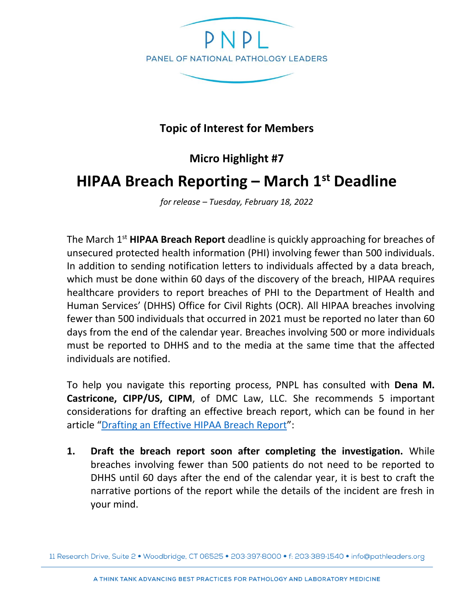

## **Topic of Interest for Members**

**Micro Highlight #7**

## **HIPAA Breach Reporting – March 1st Deadline**

*for release – Tuesday, February 18, 2022* 

The March 1st **HIPAA Breach Report** deadline is quickly approaching for breaches of unsecured protected health information (PHI) involving fewer than 500 individuals. In addition to sending notification letters to individuals affected by a data breach, which must be done within 60 days of the discovery of the breach, HIPAA requires healthcare providers to report breaches of PHI to the Department of Health and Human Services' (DHHS) Office for Civil Rights (OCR). All HIPAA breaches involving fewer than 500 individuals that occurred in 2021 must be reported no later than 60 days from the end of the calendar year. Breaches involving 500 or more individuals must be reported to DHHS and to the media at the same time that the affected individuals are notified.

To help you navigate this reporting process, PNPL has consulted with **Dena M. Castricone, CIPP/US, CIPM**, of DMC Law, LLC. She recommends 5 important considerations for drafting an effective breach report, which can be found in her article "[Drafting an Effective HIPAA Breach Report](https://dmclawllc.com/drafting-an-effective-hipaa-breach-report/)":

**1. Draft the breach report soon after completing the investigation.** While breaches involving fewer than 500 patients do not need to be reported to DHHS until 60 days after the end of the calendar year, it is best to craft the narrative portions of the report while the details of the incident are fresh in your mind.

<sup>11</sup> Research Drive, Suite 2 · Woodbridge, CT 06525 · 203 397 8000 · f: 203 389 1540 · info@pathleaders.org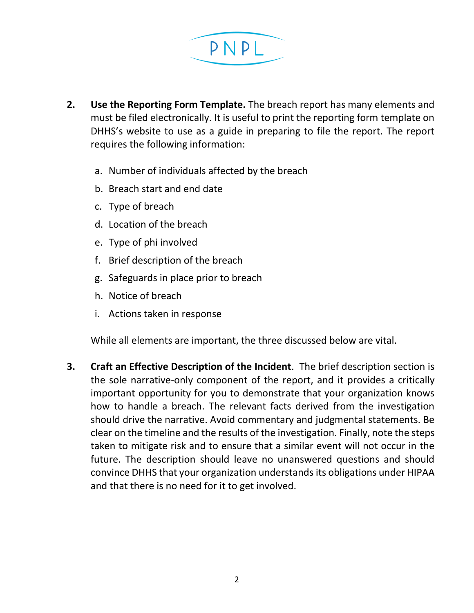

- **2. Use the Reporting Form Template.** The breach report has many elements and must be filed electronically. It is useful to print the reporting form template on DHHS's website to use as a guide in preparing to file the report. The report requires the following information:
	- a. Number of individuals affected by the breach
	- b. Breach start and end date
	- c. Type of breach
	- d. Location of the breach
	- e. Type of phi involved
	- f. Brief description of the breach
	- g. Safeguards in place prior to breach
	- h. Notice of breach
	- i. Actions taken in response

While all elements are important, the three discussed below are vital.

**3. Craft an Effective Description of the Incident**. The brief description section is the sole narrative-only component of the report, and it provides a critically important opportunity for you to demonstrate that your organization knows how to handle a breach. The relevant facts derived from the investigation should drive the narrative. Avoid commentary and judgmental statements. Be clear on the timeline and the results of the investigation. Finally, note the steps taken to mitigate risk and to ensure that a similar event will not occur in the future. The description should leave no unanswered questions and should convince DHHS that your organization understands its obligations under HIPAA and that there is no need for it to get involved.